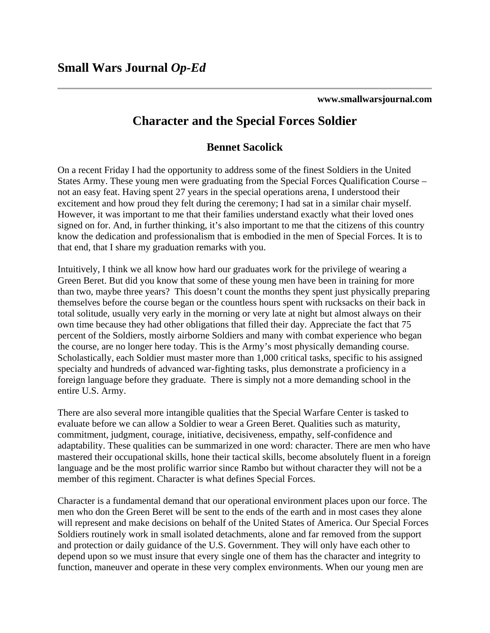**[www.smallwarsjournal.com](http://www.smallwarsjournal.com/)**

## **Character and the Special Forces Soldier**

## **Bennet Sacolick**

On a recent Friday I had the opportunity to address some of the finest Soldiers in the United States Army. These young men were graduating from the Special Forces Qualification Course – not an easy feat. Having spent 27 years in the special operations arena, I understood their excitement and how proud they felt during the ceremony; I had sat in a similar chair myself. However, it was important to me that their families understand exactly what their loved ones signed on for. And, in further thinking, it's also important to me that the citizens of this country know the dedication and professionalism that is embodied in the men of Special Forces. It is to that end, that I share my graduation remarks with you.

Intuitively, I think we all know how hard our graduates work for the privilege of wearing a Green Beret. But did you know that some of these young men have been in training for more than two, maybe three years? This doesn't count the months they spent just physically preparing themselves before the course began or the countless hours spent with rucksacks on their back in total solitude, usually very early in the morning or very late at night but almost always on their own time because they had other obligations that filled their day. Appreciate the fact that 75 percent of the Soldiers, mostly airborne Soldiers and many with combat experience who began the course, are no longer here today. This is the Army's most physically demanding course. Scholastically, each Soldier must master more than 1,000 critical tasks, specific to his assigned specialty and hundreds of advanced war-fighting tasks, plus demonstrate a proficiency in a foreign language before they graduate. There is simply not a more demanding school in the entire U.S. Army.

There are also several more intangible qualities that the Special Warfare Center is tasked to evaluate before we can allow a Soldier to wear a Green Beret. Qualities such as maturity, commitment, judgment, courage, initiative, decisiveness, empathy, self-confidence and adaptability. These qualities can be summarized in one word: character. There are men who have mastered their occupational skills, hone their tactical skills, become absolutely fluent in a foreign language and be the most prolific warrior since Rambo but without character they will not be a member of this regiment. Character is what defines Special Forces.

Character is a fundamental demand that our operational environment places upon our force. The men who don the Green Beret will be sent to the ends of the earth and in most cases they alone will represent and make decisions on behalf of the United States of America. Our Special Forces Soldiers routinely work in small isolated detachments, alone and far removed from the support and protection or daily guidance of the U.S. Government. They will only have each other to depend upon so we must insure that every single one of them has the character and integrity to function, maneuver and operate in these very complex environments. When our young men are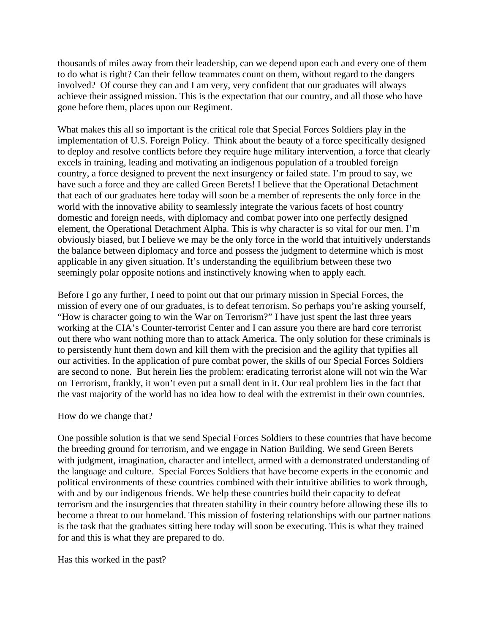thousands of miles away from their leadership, can we depend upon each and every one of them to do what is right? Can their fellow teammates count on them, without regard to the dangers involved? Of course they can and I am very, very confident that our graduates will always achieve their assigned mission. This is the expectation that our country, and all those who have gone before them, places upon our Regiment.

What makes this all so important is the critical role that Special Forces Soldiers play in the implementation of U.S. Foreign Policy. Think about the beauty of a force specifically designed to deploy and resolve conflicts before they require huge military intervention, a force that clearly excels in training, leading and motivating an indigenous population of a troubled foreign country, a force designed to prevent the next insurgency or failed state. I'm proud to say, we have such a force and they are called Green Berets! I believe that the Operational Detachment that each of our graduates here today will soon be a member of represents the only force in the world with the innovative ability to seamlessly integrate the various facets of host country domestic and foreign needs, with diplomacy and combat power into one perfectly designed element, the Operational Detachment Alpha. This is why character is so vital for our men. I'm obviously biased, but I believe we may be the only force in the world that intuitively understands the balance between diplomacy and force and possess the judgment to determine which is most applicable in any given situation. It's understanding the equilibrium between these two seemingly polar opposite notions and instinctively knowing when to apply each.

Before I go any further, I need to point out that our primary mission in Special Forces, the mission of every one of our graduates, is to defeat terrorism. So perhaps you're asking yourself, "How is character going to win the War on Terrorism?" I have just spent the last three years working at the CIA's Counter-terrorist Center and I can assure you there are hard core terrorist out there who want nothing more than to attack America. The only solution for these criminals is to persistently hunt them down and kill them with the precision and the agility that typifies all our activities. In the application of pure combat power, the skills of our Special Forces Soldiers are second to none. But herein lies the problem: eradicating terrorist alone will not win the War on Terrorism, frankly, it won't even put a small dent in it. Our real problem lies in the fact that the vast majority of the world has no idea how to deal with the extremist in their own countries.

How do we change that?

One possible solution is that we send Special Forces Soldiers to these countries that have become the breeding ground for terrorism, and we engage in Nation Building. We send Green Berets with judgment, imagination, character and intellect, armed with a demonstrated understanding of the language and culture. Special Forces Soldiers that have become experts in the economic and political environments of these countries combined with their intuitive abilities to work through, with and by our indigenous friends. We help these countries build their capacity to defeat terrorism and the insurgencies that threaten stability in their country before allowing these ills to become a threat to our homeland. This mission of fostering relationships with our partner nations is the task that the graduates sitting here today will soon be executing. This is what they trained for and this is what they are prepared to do.

Has this worked in the past?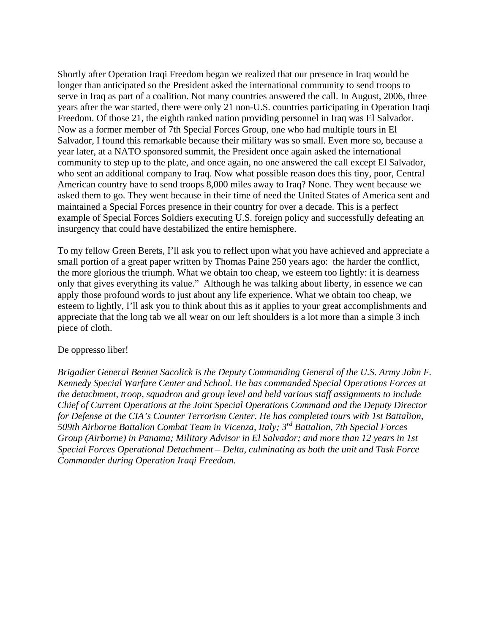Shortly after Operation Iraqi Freedom began we realized that our presence in Iraq would be longer than anticipated so the President asked the international community to send troops to serve in Iraq as part of a coalition. Not many countries answered the call. In August, 2006, three years after the war started, there were only 21 non-U.S. countries participating in Operation Iraqi Freedom. Of those 21, the eighth ranked nation providing personnel in Iraq was El Salvador. Now as a former member of 7th Special Forces Group, one who had multiple tours in El Salvador, I found this remarkable because their military was so small. Even more so, because a year later, at a NATO sponsored summit, the President once again asked the international community to step up to the plate, and once again, no one answered the call except El Salvador, who sent an additional company to Iraq. Now what possible reason does this tiny, poor, Central American country have to send troops 8,000 miles away to Iraq? None. They went because we asked them to go. They went because in their time of need the United States of America sent and maintained a Special Forces presence in their country for over a decade. This is a perfect example of Special Forces Soldiers executing U.S. foreign policy and successfully defeating an insurgency that could have destabilized the entire hemisphere.

To my fellow Green Berets, I'll ask you to reflect upon what you have achieved and appreciate a small portion of a great paper written by Thomas Paine 250 years ago: the harder the conflict, the more glorious the triumph. What we obtain too cheap, we esteem too lightly: it is dearness only that gives everything its value." Although he was talking about liberty, in essence we can apply those profound words to just about any life experience. What we obtain too cheap, we esteem to lightly, I'll ask you to think about this as it applies to your great accomplishments and appreciate that the long tab we all wear on our left shoulders is a lot more than a simple 3 inch piece of cloth.

## De oppresso liber!

*Brigadier General Bennet Sacolick is the Deputy Commanding General of the U.S. Army John F. Kennedy Special Warfare Center and School. He has commanded Special Operations Forces at the detachment, troop, squadron and group level and held various staff assignments to include Chief of Current Operations at the Joint Special Operations Command and the Deputy Director for Defense at the CIA's Counter Terrorism Center. He has completed tours with 1st Battalion, 509th Airborne Battalion Combat Team in Vicenza, Italy; 3rd Battalion, 7th Special Forces Group (Airborne) in Panama; Military Advisor in El Salvador; and more than 12 years in 1st Special Forces Operational Detachment – Delta, culminating as both the unit and Task Force Commander during Operation Iraqi Freedom.*